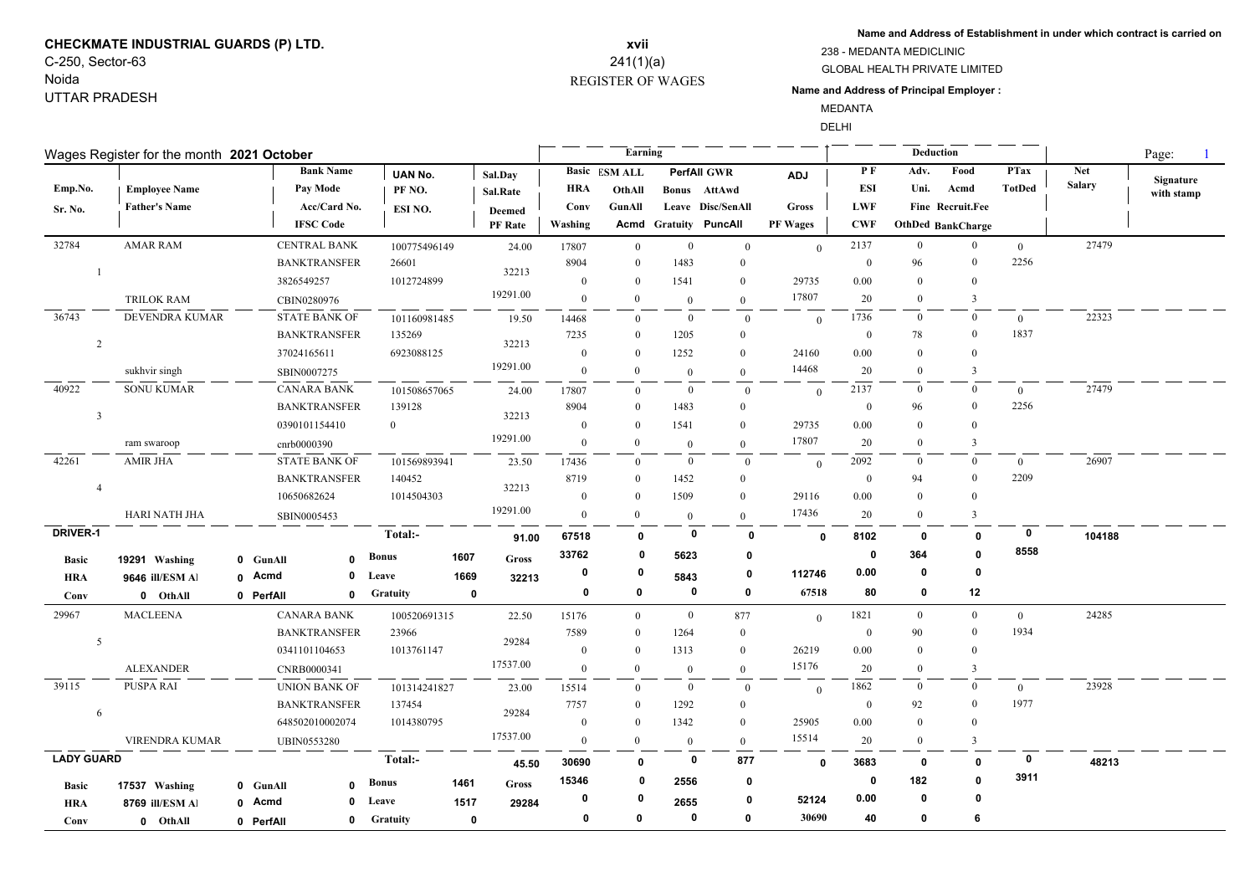## **CHECKMATE INDUSTRIAL GUARDS (P) LTD.** C-250, Sector-63

# Noida UTTAR PRADESH

### REGISTER OF WAGES **xvii** 241(1)(a)

**Name and Address of Establishment in under which contract is carried on**

238 - MEDANTA MEDICLINIC

GLOBAL HEALTH PRIVATE LIMITED

#### **Name and Address of Principal Employer :**

MEDANTA DELHI

|                   | Wages Register for the month 2021 October |             |                      |                 |             |                |                | Earning        |                     |                              |                 |              |                | Deduction                |                | Page:         |            |
|-------------------|-------------------------------------------|-------------|----------------------|-----------------|-------------|----------------|----------------|----------------|---------------------|------------------------------|-----------------|--------------|----------------|--------------------------|----------------|---------------|------------|
|                   |                                           |             | <b>Bank Name</b>     | <b>UAN No.</b>  |             | Sal.Day        |                | Basic ESM ALL  |                     | <b>PerfAll GWR</b>           | ADJ             | PF           | Adv.           | Food                     | <b>PTax</b>    | <b>Net</b>    | Signature  |
| Emp.No.           | <b>Employee Name</b>                      |             | Pay Mode             | PF NO.          |             | Sal.Rate       | HRA            | OthAll         |                     | <b>Bonus</b> AttAwd          |                 | <b>ESI</b>   | Uni.           | Acmd                     | <b>TotDed</b>  | <b>Salary</b> | with stamp |
| Sr. No.           | <b>Father's Name</b>                      |             | Acc/Card No.         | ESI NO.         |             | <b>Deemed</b>  | Conv           | GunAll         |                     | Leave Disc/SenAll            | <b>Gross</b>    | <b>LWF</b>   |                | Fine Recruit.Fee         |                |               |            |
|                   |                                           |             | <b>IFSC Code</b>     |                 |             | <b>PF</b> Rate | Washing        |                |                     | <b>Acmd Gratuity PuncAll</b> | <b>PF Wages</b> | <b>CWF</b>   |                | <b>OthDed BankCharge</b> |                |               |            |
| 32784             | <b>AMAR RAM</b>                           |             | <b>CENTRAL BANK</b>  | 100775496149    |             | 24.00          | 17807          | $\mathbf{0}$   | $\overline{0}$      | $\overline{0}$               | $\theta$        | 2137         | $\bf{0}$       | $\overline{0}$           | $\overline{0}$ | 27479         |            |
|                   |                                           |             | <b>BANKTRANSFER</b>  | 26601           |             |                | 8904           | $\theta$       | 1483                | $\mathbf{0}$                 |                 | $\mathbf{0}$ | 96             | $\overline{0}$           | 2256           |               |            |
|                   |                                           |             | 3826549257           | 1012724899      |             | 32213          | $\mathbf{0}$   | $\theta$       | 1541                | $\bf{0}$                     | 29735           | 0.00         | $\Omega$       | $\bf{0}$                 |                |               |            |
|                   | <b>TRILOK RAM</b>                         |             | CBIN0280976          |                 |             | 19291.00       | $\mathbf{0}$   | $\Omega$       | $\overline{0}$      | $\mathbf{0}$                 | 17807           | 20           | $\mathbf{0}$   | $\overline{3}$           |                |               |            |
| 36743             | DEVENDRA KUMAR                            |             | <b>STATE BANK OF</b> | 101160981485    |             | 19.50          | 14468          | $\overline{0}$ | $\bf{0}$            | $\mathbf{0}$                 | $\theta$        | 1736         | $\bf{0}$       | $\bf{0}$                 | $\overline{0}$ | 22323         |            |
| 2                 |                                           |             | <b>BANKTRANSFER</b>  | 135269          |             | 32213          | 7235           | $\mathbf{0}$   | 1205                | $\bf{0}$                     |                 | $\mathbf{0}$ | 78             | $\bf{0}$                 | 1837           |               |            |
|                   |                                           |             | 37024165611          | 6923088125      |             |                | $\overline{0}$ | $\Omega$       | 1252                | $\mathbf{0}$                 | 24160           | 0.00         | $\Omega$       | $\Omega$                 |                |               |            |
|                   | sukhvir singh                             |             | SBIN0007275          |                 |             | 19291.00       | $\overline{0}$ | $\Omega$       | $\overline{0}$      | $\overline{0}$               | 14468           | 20           | $\overline{0}$ | 3                        |                |               |            |
| 40922             | <b>SONU KUMAR</b>                         |             | <b>CANARA BANK</b>   | 101508657065    |             | 24.00          | 17807          | $\mathbf{0}$   | $\overline{0}$      | $\overline{0}$               | $\mathbf{0}$    | 2137         | $\bf{0}$       | $\overline{0}$           | $\overline{0}$ | 27479         |            |
| $\overline{3}$    |                                           |             | <b>BANKTRANSFER</b>  | 139128          |             | 32213          | 8904           | $\theta$       | 1483                | $\mathbf{0}$                 |                 | $\mathbf{0}$ | 96             | $\bf{0}$                 | 2256           |               |            |
|                   |                                           |             | 0390101154410        | $\overline{0}$  |             |                | $\mathbf{0}$   | $\theta$       | 1541                | $\mathbf{0}$                 | 29735           | 0.00         | $\Omega$       | $\overline{0}$           |                |               |            |
|                   | ram swaroop                               |             | cnrb0000390          |                 |             | 19291.00       | $\overline{0}$ | $\Omega$       | $\theta$            | $\overline{0}$               | 17807           | 20           | $\overline{0}$ | 3                        |                |               |            |
| 42261             | <b>AMIR JHA</b>                           |             | <b>STATE BANK OF</b> | 101569893941    |             | 23.50          | 17436          | $\theta$       | $\bf{0}$            | $\overline{0}$               | $\mathbf{0}$    | 2092         | $\bf{0}$       | $\bf{0}$                 | $\overline{0}$ | 26907         |            |
| $\overline{4}$    |                                           |             | <b>BANKTRANSFER</b>  | 140452          |             | 32213          | 8719           | $\Omega$       | 1452                | $\mathbf{0}$                 |                 | $\theta$     | 94             | $\theta$                 | 2209           |               |            |
|                   |                                           |             | 10650682624          | 1014504303      |             |                | $\overline{0}$ | $\Omega$       | 1509                | $\theta$                     | 29116           | 0.00         | $\Omega$       | $\overline{0}$           |                |               |            |
|                   | HARI NATH JHA                             |             | SBIN0005453          |                 |             | 19291.00       | $\mathbf{0}$   | $\Omega$       | $\overline{0}$      | $\mathbf{0}$                 | 17436           | 20           | $\Omega$       | 3                        |                |               |            |
| DRIVER-1          |                                           |             |                      | Total:-         |             | 91.00          | 67518          | $\mathbf{0}$   |                     | $\mathbf 0$<br>0             | $\mathbf{0}$    | 8102         | $\mathbf 0$    | $\mathbf{0}$             | $\mathbf 0$    | 104188        |            |
| <b>Basic</b>      | 19291 Washing                             | 0 GunAll    | $\mathbf{0}$         | <b>Bonus</b>    | 1607        | Gross          | 33762          | 0              | 5623                | 0                            |                 | 0            | 364            | $\mathbf{0}$             | 8558           |               |            |
| <b>HRA</b>        | 9646 ill/ESM Al                           | 0 Acmd      | $\mathbf 0$          | Leave           | 1669        | 32213          | $\mathbf 0$    | 0              | 5843                | 0                            | 112746          | 0.00         | 0              | $\mathbf{0}$             |                |               |            |
| Conv              | 0 OthAll                                  | 0 PerfAll   | 0                    | <b>Gratuity</b> | $\mathbf 0$ |                | 0              | 0              |                     | 0<br>0                       | 67518           | 80           | 0              | 12                       |                |               |            |
| 29967             | <b>MACLEENA</b>                           |             | <b>CANARA BANK</b>   | 100520691315    |             | 22.50          | 15176          | $\overline{0}$ | $\overline{0}$      | 877                          | $\mathbf{0}$    | 1821         | $\mathbf{0}$   | $\mathbf{0}$             | $\overline{0}$ | 24285         |            |
|                   |                                           |             | <b>BANKTRANSFER</b>  | 23966           |             |                | 7589           | $\Omega$       | 1264                | $\boldsymbol{0}$             |                 | $\mathbf{0}$ | 90             | $\overline{0}$           | 1934           |               |            |
| 5                 |                                           |             | 0341101104653        | 1013761147      |             | 29284          | $\overline{0}$ | $\theta$       | 1313                | $\bf{0}$                     | 26219           | 0.00         | $\Omega$       | $\bf{0}$                 |                |               |            |
|                   | <b>ALEXANDER</b>                          | CNRB0000341 |                      |                 |             | 17537.00       | $\mathbf{0}$   | $\Omega$       | $\overline{0}$      | $\mathbf{0}$                 | 15176           | 20           | $\overline{0}$ | 3                        |                |               |            |
| 39115             | PUSPA RAI                                 |             | <b>UNION BANK OF</b> | 101314241827    |             | 23.00          | 15514          | $\Omega$       | $\bf{0}$            | $\overline{0}$               | $\mathbf{0}$    | 1862         | $\overline{0}$ | $\bf{0}$                 | $\Omega$       | 23928         |            |
|                   |                                           |             | <b>BANKTRANSFER</b>  | 137454          |             |                | 7757           | $\theta$       | 1292                | $\bf{0}$                     |                 | $\mathbf{0}$ | 92             | $\bf{0}$                 | 1977           |               |            |
| 6                 |                                           |             | 648502010002074      | 1014380795      |             | 29284          | $\mathbf{0}$   | $\Omega$       | 1342                | $\mathbf{0}$                 | 25905           | 0.00         | $\Omega$       | $\theta$                 |                |               |            |
|                   | VIRENDRA KUMAR                            |             | <b>UBIN0553280</b>   |                 |             | 17537.00       | $\mathbf{0}$   | $\theta$       | $\overline{0}$      | $\mathbf{0}$                 | 15514           | 20           | $\bf{0}$       | 3                        |                |               |            |
| <b>LADY GUARD</b> |                                           |             |                      | Total:-         |             | 45.50          | 30690          | $\Omega$       |                     | 0<br>877                     | $\mathbf 0$     | 3683         | $\mathbf 0$    | $\mathbf{0}$             | $\mathbf 0$    | 48213         |            |
|                   |                                           |             |                      | <b>Bonus</b>    |             |                | 15346          | 0              | 2556                | 0                            |                 | 0            | 182            | $\mathbf{0}$             | 3911           |               |            |
| <b>Basic</b>      | 17537 Washing                             | 0 GunAll    | $\mathbf{0}$         |                 | 1461        | <b>Gross</b>   | 0              | n              |                     | 0                            | 52124           | 0.00         | $\mathbf 0$    | $\mathbf 0$              |                |               |            |
| <b>HRA</b>        | 8769 ill/ESM Al                           | 0 Acmd      | 0                    | Leave           | 1517        | 29284          | 0              | 0              | 2655<br>$\mathbf 0$ | $\mathbf{0}$                 | 30690           | 40           | $\mathbf 0$    | 6                        |                |               |            |
| Conv              | 0 OthAll                                  | 0 PerfAll   | 0                    | <b>Gratuity</b> | $\mathbf 0$ |                |                |                |                     |                              |                 |              |                |                          |                |               |            |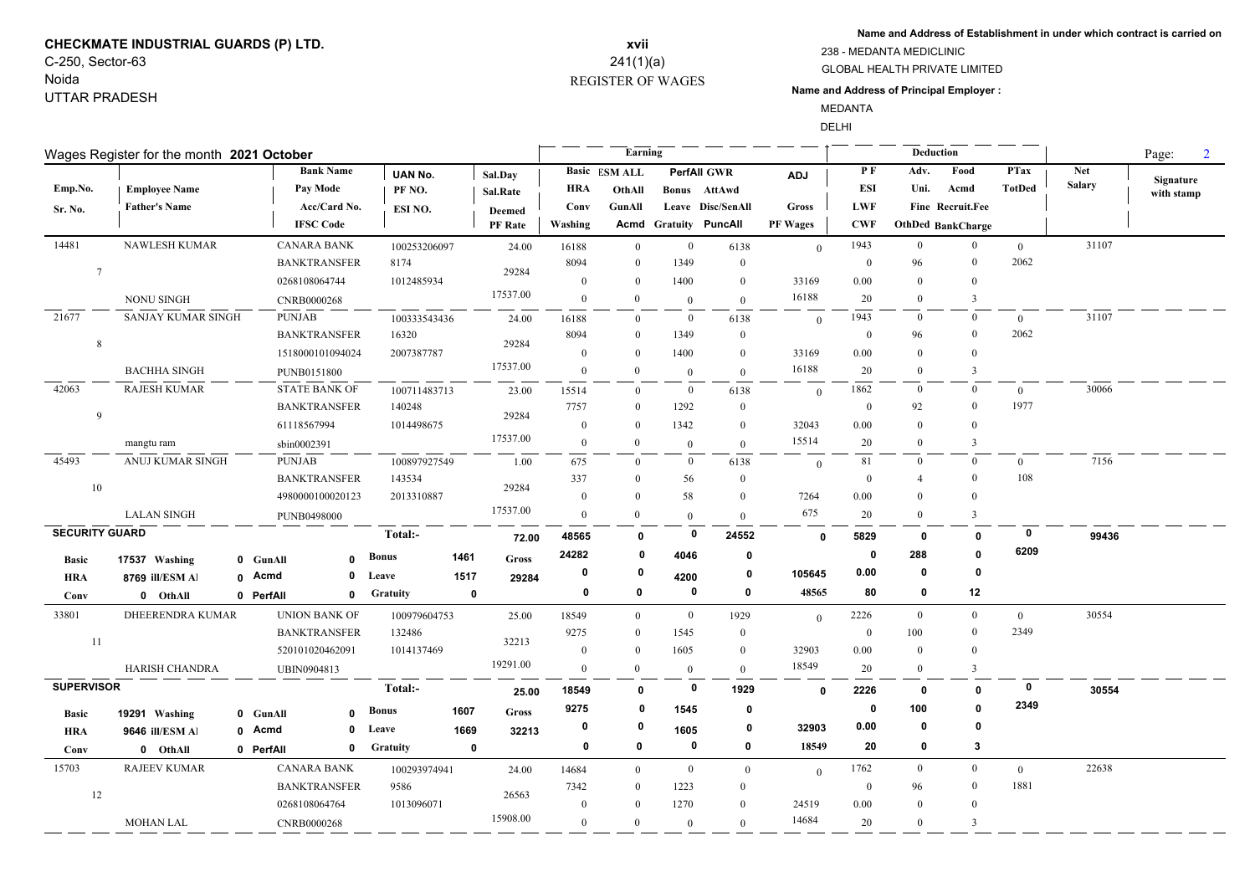## **CHECKMATE INDUSTRIAL GUARDS (P) LTD.** C-250, Sector-63

Noida UTTAR PRADESH

### REGISTER OF WAGES **xvii** 241(1)(a)

\_\_\_\_

**Name and Address of Establishment in under which contract is carried on**

GLOBAL HEALTH PRIVATE LIMITED 238 - MEDANTA MEDICLINIC

#### **Name and Address of Principal Employer :**

MEDANTA

DELHI

<u>. .</u>

 $\overline{\phantom{0}}$ 

|                       | Wages Register for the month 2021 October |                          |              |                 |             |                |                | Earning              |                |                              |                |                  | Deduction      |                          |                |               | Page:<br>$\overline{2}$ |
|-----------------------|-------------------------------------------|--------------------------|--------------|-----------------|-------------|----------------|----------------|----------------------|----------------|------------------------------|----------------|------------------|----------------|--------------------------|----------------|---------------|-------------------------|
|                       |                                           | <b>Bank Name</b>         |              | <b>UAN No.</b>  |             | Sal.Day        |                | <b>Basic ESM ALL</b> |                | <b>PerfAll GWR</b>           | <b>ADJ</b>     | PF               | Adv.           | Food                     | <b>PTax</b>    | <b>Net</b>    | Signature               |
| Emp.No.               | <b>Employee Name</b>                      | Pay Mode                 |              | PF NO.          |             | Sal.Rate       | <b>HRA</b>     | OthAll               |                | Bonus AttAwd                 |                | ESI              | Uni.           | Acmd                     | <b>TotDed</b>  | <b>Salary</b> | with stamp              |
| Sr. No.               | <b>Father's Name</b>                      | Acc/Card No.             |              | ESI NO.         |             | Deemed         | Conv           | GunAll               |                | Leave Disc/SenAll            | <b>Gross</b>   | <b>LWF</b>       |                | Fine Recruit.Fee         |                |               |                         |
|                       |                                           | <b>IFSC Code</b>         |              |                 |             | <b>PF</b> Rate | Washing        |                      |                | <b>Acmd Gratuity PuncAll</b> | PF Wages       | <b>CWF</b>       |                | <b>OthDed BankCharge</b> |                |               |                         |
| 14481                 | <b>NAWLESH KUMAR</b>                      | <b>CANARA BANK</b>       |              | 100253206097    |             | 24.00          | 16188          | $\overline{0}$       | $\overline{0}$ | 6138                         | $\theta$       | 1943             | $\overline{0}$ | $\overline{0}$           | $\overline{0}$ | 31107         |                         |
| $\overline{7}$        |                                           | <b>BANKTRANSFER</b>      |              | 8174            |             | 29284          | 8094           | $\Omega$             | 1349           | $\mathbf{0}$                 |                | $\mathbf{0}$     | 96             | $\overline{0}$           | 2062           |               |                         |
|                       |                                           | 0268108064744            |              | 1012485934      |             |                | $\mathbf{0}$   | $\Omega$             | 1400           | $\bf{0}$                     | 33169          | 0.00             | $\Omega$       | $\mathbf{0}$             |                |               |                         |
|                       | NONU SINGH                                | CNRB0000268              |              |                 |             | 17537.00       | $\mathbf{0}$   | $\Omega$             | $\mathbf{0}$   | $\mathbf{0}$                 | 16188          | 20               | $\Omega$       | $\mathbf{3}$             |                |               |                         |
| 21677                 | SANJAY KUMAR SINGH                        | <b>PUNJAB</b>            |              | 100333543436    |             | 24.00          | 16188          | $\Omega$             | $\overline{0}$ | 6138                         | $\theta$       | 1943             | $\mathbf{0}$   | $\overline{0}$           | $\theta$       | 31107         |                         |
| 8                     |                                           | <b>BANKTRANSFER</b>      |              | 16320           |             | 29284          | 8094           | $\Omega$             | 1349           | $\bf{0}$                     |                | $\mathbf{0}$     | 96             | $\overline{0}$           | 2062           |               |                         |
|                       |                                           | 1518000101094024         |              | 2007387787      |             |                | $\overline{0}$ | $\overline{0}$       | 1400           | $\mathbf{0}$                 | 33169          | 0.00             | $\overline{0}$ | $\overline{0}$           |                |               |                         |
|                       | <b>BACHHA SINGH</b>                       | PUNB0151800              |              |                 |             | 17537.00       | $\mathbf{0}$   | $\bf{0}$             | $\mathbf{0}$   | $\mathbf{0}$                 | 16188          | 20               | $\mathbf{0}$   | $\mathbf{3}$             |                |               |                         |
| 42063                 | <b>RAJESH KUMAR</b>                       | <b>STATE BANK OF</b>     |              | 100711483713    |             | 23.00          | 15514          | $\Omega$             | $\mathbf{0}$   | 6138                         | $\overline{0}$ | 1862             | $\mathbf{0}$   | $\overline{0}$           | $\bf{0}$       | 30066         |                         |
| 9                     |                                           | <b>BANKTRANSFER</b>      |              | 140248          |             | 29284          | 7757           | $\Omega$             | 1292           | $\bf{0}$                     |                | $\Omega$         | 92             | $\overline{0}$           | 1977           |               |                         |
|                       |                                           | 61118567994              |              | 1014498675      |             |                | $\mathbf{0}$   | $\overline{0}$       | 1342           | $\mathbf{0}$                 | 32043          | 0.00             | $\theta$       | $\overline{0}$           |                |               |                         |
|                       | mangtu ram                                | sbin0002391              |              |                 |             | 17537.00       | $\mathbf{0}$   | $\overline{0}$       | $\mathbf{0}$   | $\overline{0}$               | 15514          | 20               | $\theta$       | 3                        |                |               |                         |
| 45493                 | ANUJ KUMAR SINGH                          | <b>PUNJAB</b>            |              | 100897927549    |             | 1.00           | 675            | $\Omega$             | $\mathbf{0}$   | 6138                         | $\overline{0}$ | 81               | $\mathbf{0}$   | $\overline{0}$           | $\theta$       | 7156          |                         |
| 10                    |                                           | <b>BANKTRANSFER</b>      |              | 143534          |             | 29284          | 337            | $\mathbf{0}$         | 56             | $\bf{0}$                     |                | $\boldsymbol{0}$ | $\overline{4}$ | $\mathbf{0}$             | 108            |               |                         |
|                       |                                           | 4980000100020123         |              | 2013310887      |             |                | $\mathbf{0}$   | $\Omega$             | 58             | $\mathbf{0}$                 | 7264           | 0.00             | $\Omega$       | $\theta$                 |                |               |                         |
|                       | <b>LALAN SINGH</b>                        | <b>PUNB0498000</b>       |              |                 |             | 17537.00       | $\mathbf{0}$   | $\theta$             | $\overline{0}$ | $\overline{0}$               | 675            | 20               | $\theta$       | $\overline{3}$           |                |               |                         |
| <b>SECURITY GUARD</b> |                                           |                          |              | Total:-         |             | 72.00          | 48565          | 0                    | 0              | 24552                        | $\mathbf{0}$   | 5829             | 0              | $\mathbf{0}$             | $\bf{0}$       | 99436         |                         |
| <b>Basic</b>          | 17537 Washing                             | 0 GunAll<br>$\mathbf{r}$ | <b>Bonus</b> |                 | 1461        | <b>Gross</b>   | 24282          | 0                    | 4046           | 0                            |                | $\mathbf{0}$     | 288            | $\mathbf{0}$             | 6209           |               |                         |
| <b>HRA</b>            | 8769 ill/ESM Al                           | $\mathbf 0$<br>0 Acmd    | Leave        |                 | 1517        | 29284          | 0              | 0                    | 4200           | 0                            | 105645         | 0.00             | $\bf{0}$       | 0                        |                |               |                         |
| Conv                  | 0 OthAll                                  | $\mathbf 0$<br>0 PerfAll |              | <b>Gratuity</b> | $\mathbf 0$ |                | 0              | 0                    | 0              | $\mathbf 0$                  | 48565          | 80               | 0              | 12                       |                |               |                         |
| 33801                 | DHEERENDRA KUMAR                          | <b>UNION BANK OF</b>     |              | 100979604753    |             | 25.00          | 18549          | $\overline{0}$       | $\mathbf{0}$   | 1929                         | $\theta$       | 2226             | $\mathbf{0}$   | $\overline{0}$           | $\overline{0}$ | 30554         |                         |
|                       |                                           | <b>BANKTRANSFER</b>      |              | 132486          |             |                | 9275           | $\mathbf{0}$         | 1545           | $\bf{0}$                     |                | $\boldsymbol{0}$ | 100            | $\overline{0}$           | 2349           |               |                         |
| 11                    |                                           | 520101020462091          |              | 1014137469      |             | 32213          | $\mathbf{0}$   | $\theta$             | 1605           | $\mathbf{0}$                 | 32903          | 0.00             | $\mathbf{0}$   | $\overline{0}$           |                |               |                         |
|                       | <b>HARISH CHANDRA</b>                     | <b>UBIN0904813</b>       |              |                 |             | 19291.00       | $\mathbf{0}$   | $\Omega$             | $\mathbf{0}$   | $\mathbf{0}$                 | 18549          | 20               | $\Omega$       | $\overline{3}$           |                |               |                         |
| <b>SUPERVISOR</b>     |                                           |                          |              | Total:-         |             | 25.00          | 18549          | $\mathbf{0}$         | 0              | 1929                         | $\mathbf{0}$   | 2226             | 0              | $\mathbf{0}$             | $\mathbf 0$    | 30554         |                         |
| <b>Basic</b>          | 19291 Washing                             | 0 GunAll<br>$\Omega$     | <b>Bonus</b> |                 | 1607        | <b>Gross</b>   | 9275           | 0                    | 1545           | 0                            |                | 0                | 100            | $\mathbf{0}$             | 2349           |               |                         |
| <b>HRA</b>            | 9646 ill/ESM Al                           | 0 Acmd<br>0              | Leave        |                 | 1669        | 32213          | 0              | 0                    | 1605           | 0                            | 32903          | 0.00             | 0              | 0                        |                |               |                         |
| Conv                  | 0 OthAll                                  | $\mathbf 0$<br>0 PerfAll |              | Gratuity        | $\mathbf 0$ |                | 0              | $\mathbf 0$          | $\mathbf 0$    | 0                            | 18549          | 20               | 0              | $\mathbf{3}$             |                |               |                         |
| 15703                 | RAJEEV KUMAR                              | <b>CANARA BANK</b>       |              | 100293974941    |             | 24.00          | 14684          | $\overline{0}$       | $\overline{0}$ | $\overline{0}$               | $\theta$       | 1762             | $\mathbf{0}$   | $\overline{0}$           | $\overline{0}$ | 22638         |                         |
|                       |                                           | <b>BANKTRANSFER</b>      |              | 9586            |             |                | 7342           | $\Omega$             | 1223           | $\mathbf{0}$                 |                | $\mathbf{0}$     | 96             | $\overline{0}$           | 1881           |               |                         |
| 12                    |                                           | 0268108064764            |              | 1013096071      |             | 26563          | $\overline{0}$ | $\Omega$             | 1270           | $\mathbf{0}$                 | 24519          | 0.00             | $\Omega$       | $\overline{0}$           |                |               |                         |
|                       | <b>MOHAN LAL</b>                          | <b>CNRB0000268</b>       |              |                 |             | 15908.00       | $\mathbf{0}$   | $\theta$             | $\mathbf{0}$   | $\overline{0}$               | 14684          | 20               | $\theta$       | 3                        |                |               |                         |
|                       |                                           |                          |              |                 |             |                |                |                      |                |                              |                |                  |                |                          |                |               |                         |